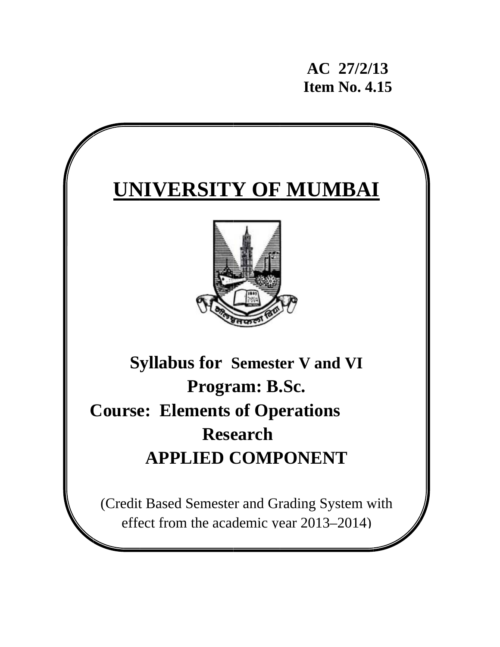AC 27/2/13 **Item No. 4.15** 

# **UNIVERSITY OF MUMBAI Syllabus for Semester V and VI** Program: B.Sc. **Course: Elements of Operations Research APPLIED COMPONENT** (Credit Based Semester and Grading System with effect from the academic year 2013–2014)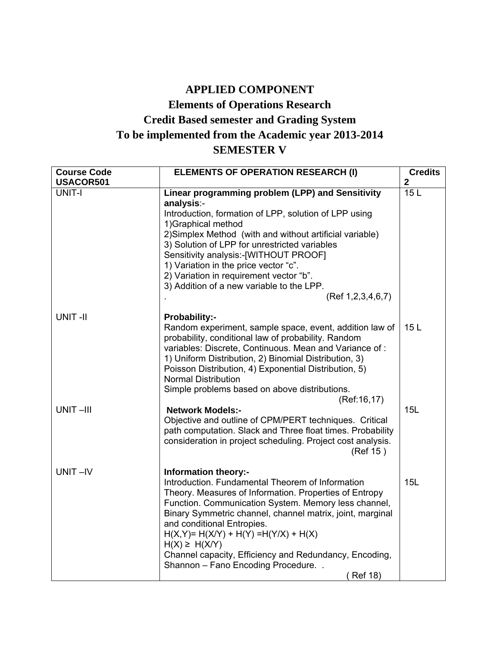## **APPLIED COMPONENT**

## **Elements of Operations Research Credit Based semester and Grading System To be implemented from the Academic year 2013-2014 SEMESTER V**

| <b>Course Code</b> | <b>ELEMENTS OF OPERATION RESEARCH (I)</b>                                                                            | <b>Credits</b> |
|--------------------|----------------------------------------------------------------------------------------------------------------------|----------------|
| USACOR501          |                                                                                                                      | $\mathbf{2}$   |
| <b>UNIT-I</b>      | Linear programming problem (LPP) and Sensitivity<br>analysis:-                                                       | 15L            |
|                    | Introduction, formation of LPP, solution of LPP using                                                                |                |
|                    | 1) Graphical method                                                                                                  |                |
|                    | 2) Simplex Method (with and without artificial variable)                                                             |                |
|                    | 3) Solution of LPP for unrestricted variables                                                                        |                |
|                    | Sensitivity analysis:-[WITHOUT PROOF]                                                                                |                |
|                    | 1) Variation in the price vector "c".                                                                                |                |
|                    | 2) Variation in requirement vector "b".                                                                              |                |
|                    | 3) Addition of a new variable to the LPP.                                                                            |                |
|                    | (Ref 1, 2, 3, 4, 6, 7)                                                                                               |                |
| <b>UNIT-II</b>     | Probability:-                                                                                                        |                |
|                    | Random experiment, sample space, event, addition law of                                                              | 15L            |
|                    | probability, conditional law of probability. Random                                                                  |                |
|                    | variables: Discrete, Continuous. Mean and Variance of:                                                               |                |
|                    | 1) Uniform Distribution, 2) Binomial Distribution, 3)                                                                |                |
|                    | Poisson Distribution, 4) Exponential Distribution, 5)                                                                |                |
|                    | <b>Normal Distribution</b>                                                                                           |                |
|                    | Simple problems based on above distributions.                                                                        |                |
|                    | (Ref: 16, 17)                                                                                                        |                |
| UNIT-III           | <b>Network Models:-</b>                                                                                              | 15L            |
|                    | Objective and outline of CPM/PERT techniques. Critical<br>path computation. Slack and Three float times. Probability |                |
|                    | consideration in project scheduling. Project cost analysis.                                                          |                |
|                    | (Ref 15)                                                                                                             |                |
|                    |                                                                                                                      |                |
| UNIT-IV            | <b>Information theory:-</b>                                                                                          |                |
|                    | Introduction. Fundamental Theorem of Information                                                                     | 15L            |
|                    | Theory. Measures of Information. Properties of Entropy                                                               |                |
|                    | Function. Communication System. Memory less channel,                                                                 |                |
|                    | Binary Symmetric channel, channel matrix, joint, marginal                                                            |                |
|                    | and conditional Entropies.                                                                                           |                |
|                    | $H(X,Y) = H(X/Y) + H(Y) = H(Y/X) + H(X)$<br>$H(X) \geq H(X/Y)$                                                       |                |
|                    | Channel capacity, Efficiency and Redundancy, Encoding,                                                               |                |
|                    | Shannon - Fano Encoding Procedure                                                                                    |                |
|                    | (Ref 18)                                                                                                             |                |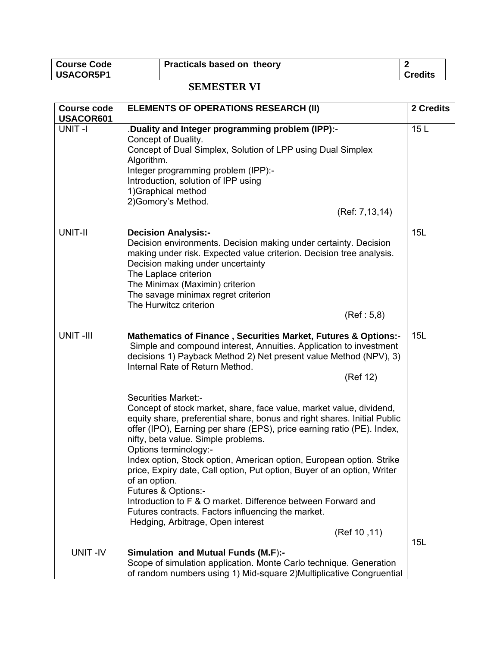| Course Code | <b>Practicals based on theory</b> |                |
|-------------|-----------------------------------|----------------|
| USACOR5P1   |                                   | <b>Credits</b> |

## **SEMESTER VI**

| <b>Course code</b> | <b>ELEMENTS OF OPERATIONS RESEARCH (II)</b>                                                                                                                                                                                                                                                                    | 2 Credits |
|--------------------|----------------------------------------------------------------------------------------------------------------------------------------------------------------------------------------------------------------------------------------------------------------------------------------------------------------|-----------|
| USACOR601          |                                                                                                                                                                                                                                                                                                                |           |
| UNIT-I             | Duality and Integer programming problem (IPP):-<br>Concept of Duality.                                                                                                                                                                                                                                         | 15L       |
|                    | Concept of Dual Simplex, Solution of LPP using Dual Simplex<br>Algorithm.                                                                                                                                                                                                                                      |           |
|                    | Integer programming problem (IPP):-                                                                                                                                                                                                                                                                            |           |
|                    | Introduction, solution of IPP using                                                                                                                                                                                                                                                                            |           |
|                    | 1) Graphical method                                                                                                                                                                                                                                                                                            |           |
|                    | 2) Gomory's Method.<br>(Ref: 7,13,14)                                                                                                                                                                                                                                                                          |           |
|                    |                                                                                                                                                                                                                                                                                                                |           |
| UNIT-II            | <b>Decision Analysis:-</b><br>Decision environments. Decision making under certainty. Decision<br>making under risk. Expected value criterion. Decision tree analysis.<br>Decision making under uncertainty<br>The Laplace criterion<br>The Minimax (Maximin) criterion<br>The savage minimax regret criterion | 15L       |
|                    | The Hurwitcz criterion<br>(Ref: 5, 8)                                                                                                                                                                                                                                                                          |           |
|                    |                                                                                                                                                                                                                                                                                                                |           |
| <b>UNIT-III</b>    | <b>Mathematics of Finance, Securities Market, Futures &amp; Options:-</b><br>Simple and compound interest, Annuities. Application to investment<br>decisions 1) Payback Method 2) Net present value Method (NPV), 3)<br>Internal Rate of Return Method.<br>(Ref 12)                                            | 15L       |
|                    | <b>Securities Market:-</b>                                                                                                                                                                                                                                                                                     |           |
|                    | Concept of stock market, share, face value, market value, dividend,<br>equity share, preferential share, bonus and right shares. Initial Public<br>offer (IPO), Earning per share (EPS), price earning ratio (PE). Index,<br>nifty, beta value. Simple problems.<br>Options terminology:-                      |           |
|                    | Index option, Stock option, American option, European option. Strike<br>price, Expiry date, Call option, Put option, Buyer of an option, Writer<br>of an option.<br>Futures & Options:-                                                                                                                        |           |
|                    | Introduction to F & O market. Difference between Forward and<br>Futures contracts. Factors influencing the market.<br>Hedging, Arbitrage, Open interest                                                                                                                                                        |           |
|                    | (Ref 10, 11)                                                                                                                                                                                                                                                                                                   | 15L       |
| UNIT-IV            | <b>Simulation and Mutual Funds (M.F):-</b>                                                                                                                                                                                                                                                                     |           |
|                    | Scope of simulation application. Monte Carlo technique. Generation<br>of random numbers using 1) Mid-square 2) Multiplicative Congruential                                                                                                                                                                     |           |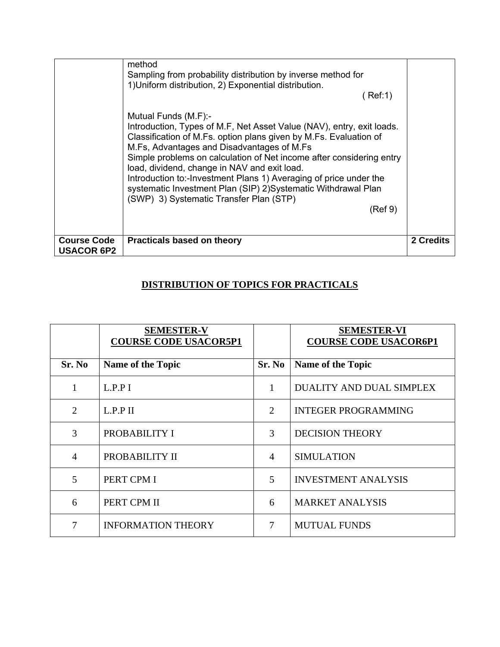|                                         | method<br>Sampling from probability distribution by inverse method for<br>1) Uniform distribution, 2) Exponential distribution.<br>Ref:1)<br>Mutual Funds (M.F):-<br>Introduction, Types of M.F, Net Asset Value (NAV), entry, exit loads.<br>Classification of M.Fs. option plans given by M.Fs. Evaluation of<br>M.Fs, Advantages and Disadvantages of M.Fs<br>Simple problems on calculation of Net income after considering entry<br>load, dividend, change in NAV and exit load.<br>Introduction to:-Investment Plans 1) Averaging of price under the<br>systematic Investment Plan (SIP) 2) Systematic Withdrawal Plan<br>(SWP) 3) Systematic Transfer Plan (STP)<br>(Ref 9) |           |
|-----------------------------------------|------------------------------------------------------------------------------------------------------------------------------------------------------------------------------------------------------------------------------------------------------------------------------------------------------------------------------------------------------------------------------------------------------------------------------------------------------------------------------------------------------------------------------------------------------------------------------------------------------------------------------------------------------------------------------------|-----------|
| <b>Course Code</b><br><b>USACOR 6P2</b> | <b>Practicals based on theory</b>                                                                                                                                                                                                                                                                                                                                                                                                                                                                                                                                                                                                                                                  | 2 Credits |

## **DISTRIBUTION OF TOPICS FOR PRACTICALS**

|                | <b>SEMESTER-V</b><br><b>COURSE CODE USACOR5P1</b> |                | <b>SEMESTER-VI</b><br><b>COURSE CODE USACOR6P1</b> |
|----------------|---------------------------------------------------|----------------|----------------------------------------------------|
| Sr. No         | Name of the Topic                                 | Sr. No         | <b>Name of the Topic</b>                           |
| $\mathbf{1}$   | L.P.P I                                           | 1              | DUALITY AND DUAL SIMPLEX                           |
| 2              | L.P.P II                                          | 2              | <b>INTEGER PROGRAMMING</b>                         |
| 3              | PROBABILITY I                                     | 3              | <b>DECISION THEORY</b>                             |
| $\overline{4}$ | PROBABILITY II                                    | $\overline{4}$ | <b>SIMULATION</b>                                  |
| 5              | PERT CPM I                                        | 5              | <b>INVESTMENT ANALYSIS</b>                         |
| 6              | PERT CPM II                                       | 6              | <b>MARKET ANALYSIS</b>                             |
| 7              | <b>INFORMATION THEORY</b>                         | 7              | <b>MUTUAL FUNDS</b>                                |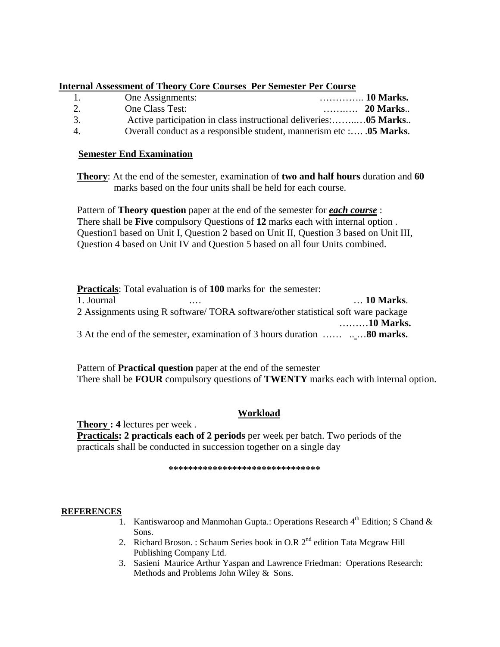#### **Internal Assessment of Theory Core Courses Per Semester Per Course**

| $\mathbf{L}$   | One Assignments:                                                    |  |
|----------------|---------------------------------------------------------------------|--|
| 2.             | One Class Test:                                                     |  |
| 3.             | Active participation in class instructional deliveries:05 Marks     |  |
| $\overline{4}$ | Overall conduct as a responsible student, mannerism etc : 05 Marks. |  |

#### **Semester End Examination**

**Theory**: At the end of the semester, examination of **two and half hours** duration and **60** marks based on the four units shall be held for each course.

Pattern of **Theory question** paper at the end of the semester for *each course* : There shall be **Five** compulsory Questions of **12** marks each with internal option . Question1 based on Unit I, Question 2 based on Unit II, Question 3 based on Unit III, Question 4 based on Unit IV and Question 5 based on all four Units combined.

|            | <b>Practicals:</b> Total evaluation is of 100 marks for the semester:            |           |
|------------|----------------------------------------------------------------------------------|-----------|
| 1. Journal |                                                                                  | 10 Marks. |
|            | 2 Assignments using R software/TORA software/other statistical soft ware package |           |
|            |                                                                                  | 10 Marks. |
|            |                                                                                  |           |

Pattern of **Practical question** paper at the end of the semester There shall be **FOUR** compulsory questions of **TWENTY** marks each with internal option.

#### **Workload**

**Theory : 4** lectures per week . **Practicals: 2 practicals each of 2 periods** per week per batch. Two periods of the practicals shall be conducted in succession together on a single day

#### **\*\*\*\*\*\*\*\*\*\*\*\*\*\*\*\*\*\*\*\*\*\*\*\*\*\*\*\*\*\*\***

#### **REFERENCES**

- 1. Kantiswaroop and Manmohan Gupta.: Operations Research  $4<sup>th</sup>$  Edition; S Chand & Sons.
- 2. Richard Broson. : Schaum Series book in O.R 2<sup>nd</sup> edition Tata Mcgraw Hill Publishing Company Ltd.
- 3. Sasieni Maurice Arthur Yaspan and Lawrence Friedman: Operations Research: Methods and Problems John Wiley & Sons.